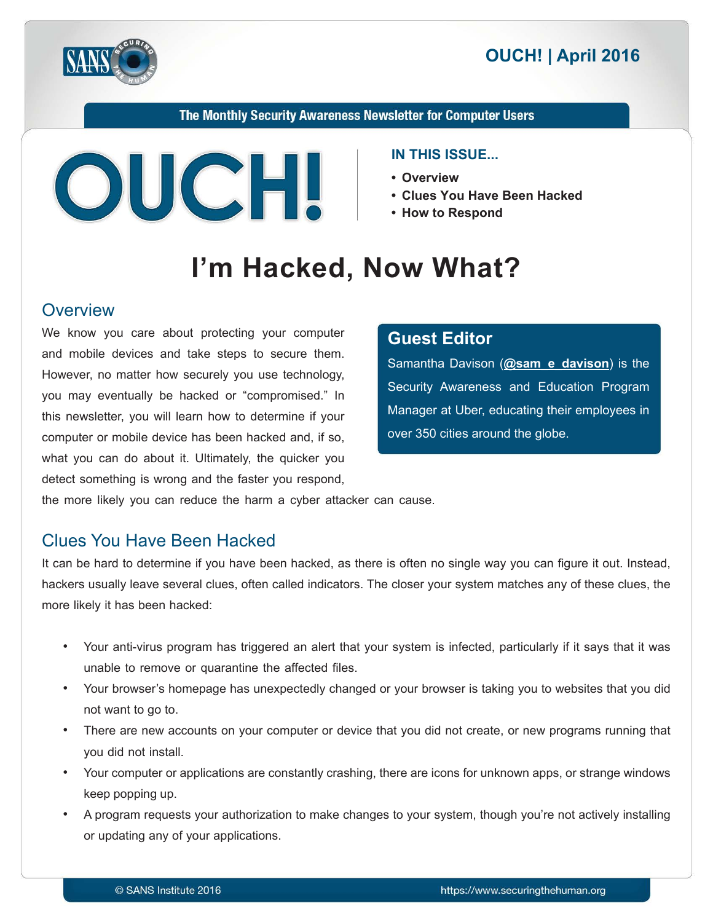

The Monthly Security Awareness Newsletter for Computer Users



#### **IN THIS ISSUE...**

- **Overview•**
- Clues You Have Been Hacked
- **How to Respond**

# I'm Hacked, Now What?

#### **Overview**

We know you care about protecting your computer and mobile devices and take steps to secure them. However, no matter how securely you use technology, you may eventually be hacked or "compromised." In this newsletter, you will learn how to determine if your computer or mobile device has been hacked and, if so, what you can do about it. Ultimately, the quicker you detect something is wrong and the faster you respond,

## **Editor Guest**

Samantha Davison (**@sam e davison**) is the Security Awareness and Education Program Manager at Uber, educating their employees in over 350 cities around the globe.

the more likely you can reduce the harm a cyber attacker can cause.

# Clues You Have Been Hacked

It can be hard to determine if you have been hacked, as there is often no single way you can figure it out. Instead, hackers usually leave several clues, often called indicators. The closer your system matches any of these clues, the more likely it has been hacked:

- Your anti-virus program has triggered an alert that your system is infected, particularly if it says that it was unable to remove or quarantine the affected files.
- Your browser's homepage has unexpectedly changed or your browser is taking you to websites that you did not want to go to.
- There are new accounts on your computer or device that you did not create, or new programs running that you did not install.
- Your computer or applications are constantly crashing, there are icons for unknown apps, or strange windows keep popping up.
- A program requests your authorization to make changes to your system, though you're not actively installing or updating any of your applications.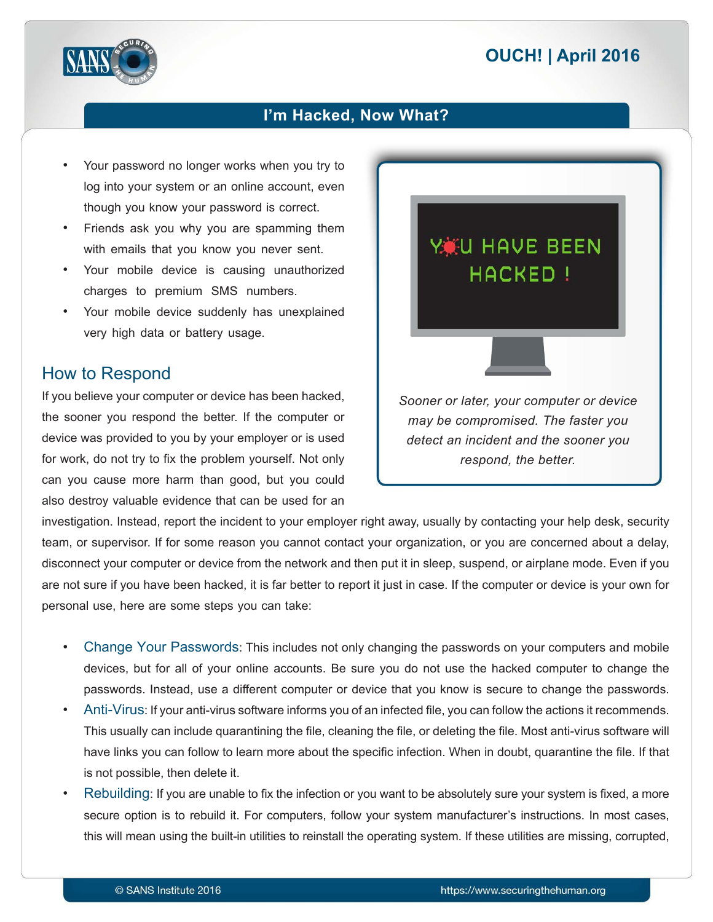# **2016 | OUCH! | April 2016**



#### I'm Hacked, Now What?

- Your password no longer works when you try to log into your system or an online account, even though you know your password is correct.
- Friends ask you why you are spamming them with emails that you know you never sent.
- Your mobile device is causing unauthorized charges to premium SMS numbers.
- Your mobile device suddenly has unexplained very high data or battery usage.

#### How to Respond

If you believe your computer or device has been hacked, the sooner you respond the better. If the computer or device was provided to you by your employer or is used for work, do not try to fix the problem yourself. Not only can you cause more harm than good, but you could also destroy valuable evidence that can be used for an

YKU HAVE BEEN **HACKED! Sooner or later, your computer or device** *may be compromised. The faster you detect an incident and the sooner you respond, the better.* 

investigation. Instead, report the incident to your employer right away, usually by contacting your help desk, security team, or supervisor. If for some reason you cannot contact your organization, or you are concerned about a delay, disconnect your computer or device from the network and then put it in sleep, suspend, or airplane mode. Even if you are not sure if you have been hacked, it is far better to report it just in case. If the computer or device is your own for personal use, here are some steps you can take:

- Change Your Passwords: This includes not only changing the passwords on your computers and mobile devices, but for all of your online accounts. Be sure you do not use the hacked computer to change the passwords. Instead, use a different computer or device that you know is secure to change the passwords.
- Anti-Virus: If your anti-virus software informs you of an infected file, you can follow the actions it recommends. This usually can include quarantining the file, cleaning the file, or deleting the file. Most anti-virus software will have links you can follow to learn more about the specific infection. When in doubt, quarantine the file. If that is not possible, then delete it.
- Rebuilding: If you are unable to fix the infection or you want to be absolutely sure your system is fixed, a more secure option is to rebuild it. For computers, follow your system manufacturer's instructions. In most cases, this will mean using the built-in utilities to reinstall the operating system. If these utilities are missing, corrupted,